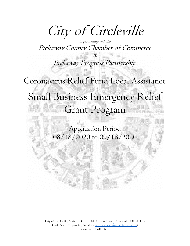City of Circleville

in partnership with the Pickaway County Chamber of Commerce

&

Pickaway Progress Partnership

Coronavirus Relief Fund Local Assistance Small Business Emergency Relief Grant Program

> Application Period 08/18/2020 to 09/18/2020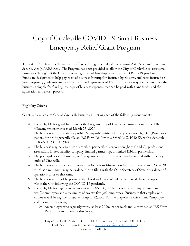## City of Circleville COVID-19 Small Business Emergency Relief Grant Program

The City of Circleville is the recipient of funds through the federal Coronavirus Aid, Relief and Economic Security Act (CARES Act). The Program has been provided to allow the City of Circleville to assist small businesses throughout the City experiencing financial hardship caused by the COVID-19 pandemic. Funds are designated to help pay costs of business interruption incurred by closures, and costs incurred to meet reopening guidelines imposed by the Ohio Department of Health. The below guidelines establish the businesses eligible for funding, the type of business expenses that can be paid with grant funds, and the application and award process.

## Eligibility Criteria

Grants are available to City of Circleville businesses meeting each of the following requirements:

- A. To be eligible for grant funds under the Program, City of Circleville businesses must meet the following requirements as of March 23, 2020.
- 1. The business must operate for profit. Non-profit entities of any type are not eligible. (Businesses that are for-profit generally file an IRS Form 1040 with a Schedule C, 1040-SR with a Schedule C, 1065, 1120 or 1120-S.
- 2. The business may be a sole proprietorship, partnership, corporation (both S and C), professional association, limited liability company, limited partnership, or limited liability partnership.
- 3. The principal place of business, or headquarters, for the business must be located within the city limits of Circleville.
- 4. The business must have been in operation for at least fifteen months prior to the March 23, 2020, which at a minimum, may be evidenced by a filing with the Ohio Secretary of State or evidence of operations prior to that time.
- 5. The business must not be permanently closed and must intend to continue its business operations within the City following the COVID-19 pandemic.
- 6. To be eligible for a grant in an amount up to \$5,000, the business must employ a minimum of two (2) employees and a maximum of twenty-five (25) employees. Businesses that employ one employee will be eligible for grants of up to \$2,000. For the purposes of this criteria "employee" shall mean the following:
	- $\triangleright$  An employee who regularly works at least 20 hours per week and is provided an IRS Form W-2 at the end of each calendar year.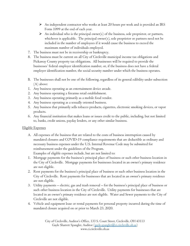- An independent contractor who works at least 20 hours per week and is provided an IRS Form 1099 at the end of each year.
- $\triangleright$  An individual who is the principal owner(s) of the business, sole proprietor, or partners, whichever is applicable. The principal owner(s), sole proprietor or partners need not be included in the number of employees if it would cause the business to exceed the maximum number of individuals employed.
- 7. The business must not be in receivership or bankruptcy.
- 8. The business must be current on all City of Circleville municipal income tax obligations and Pickaway County property tax obligations. All businesses will be required to provide the businesses' federal employer identification number, or, if the business does not have a federal employer identification number, the social security number under which the business operates.
- B. The businesses shall not be one of the following, regardless of its general edibility under subsection (A) above:
- 1. Any business operating as an entertainment device arcade.
- 2. Any business operating a firearms retail establishment.
- 3. Any business operating primarily as a mobile food vendor.
- 4. Any business operating as a sexually oriented business.
- 5. Any business that primarily sells tobacco products, cigarettes, electronic smoking devices, or vapor products.
- 6. Any financial institution that makes loans or issues credit to the public, including, but not limited to, banks, credit unions, payday lenders, or any other similar business.

## Eligible Expenses

A. All expenses of the business that are related to the costs of business interruption caused by mandated closures and COVID-19 compliance requirements that are deductible as ordinary and necessary business expenses under the U.S. Internal Revenue Code may be submitted for reimbursement under the guidelines of the Program.

Examples of eligible expenses include, but are not limited to:

- 1. Mortgage payments for the business's principal place of business or such other business location in the City of Circleville. Mortgage payments for businesses located in an owner's primary residence are not eligible.
- 2. Rent payments for the business's principal place of business or such other business location in the City of Circleville. Rent payments for businesses that are located in an owner's primary residence are not eligible.
- 3. Utility payments electric, gas and trash removal for the business's principal place of business or such other business location in the City of Circleville. Utility payments for businesses that are located in an owner's primary residence are not eligible. Water and Sewer payments to the City of Circleville are not eligible.
- 4. Vehicle and equipment lease or rental payments for personal property incurred during the time of mandated closure acquired on or prior to March 23, 2020.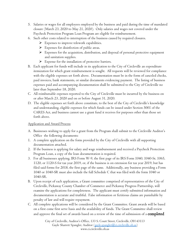- 5. Salaries or wages for all employees employed by the business and paid during the time of mandated closure (March 23, 2020 to May 21, 2020). Only salaries and wages not covered under the Paycheck Protection Program Loan Program are eligible for reimbursement.
- 6. Such other costs related to interruption of the business caused by required closures.
	- $\triangleright$  Expenses to improve telework capabilities.
	- $\triangleright$  Expenses for disinfection of public areas.
	- Expenses for the acquisition, distribution, and disposal of personal protective equipment and sanitation supplies.
	- $\triangleright$  Expense for the installation of protective barriers.
- B. Each applicant for funds will include in its application to the City of Circleville an expenditure itemization for which grant reimbursement is sought. All requests will be reviewed for compliance with the eligible expenses set forth above. Documentation must be in the form of canceled checks, paid invoices, bank statements, or similar documents evidencing payment. The listing of business expenses paid and accompanying documentation shall be submitted to the City of Circleville no later than September 18, 2020.
- C. All reimbursable expenses reported to the City of Circleville must be incurred by the business on or after March 23, 2020 and on or before August 31, 2020.
- D. The eligible expenses set forth above constitute, to the best of the City of Circleville's knowledge and understanding, eligible expenses for which funds can be issued under Section 5001 of the CARES Act, and business cannot use a grant fund it receives for purposes other than those set forth above.

Application and Award Process

- A. Businesses wishing to apply for a grant from the Program shall submit to the Circleville Auditor's Office the following documents:
- 1. A complete application on the form provided by the City of Circleville with all supporting documentation attached.
- 2. If the business is applying for salary and wage reimbursement and received a Paycheck Protection Program Loan, a copy of the loan documentation is required.
- 3. For all businesses applying, IRS Form W-9, the first page of its IRS Form 1040, 1040-Sr, 1065, 1120, or 1120-S for tax year 2019, or, if the business is on extension for tax year 2019, but has filed said forms for 2018, the first page of the same. Additionally, any business providing a Form 1040 or 1040-SR must also include the full Schedule C that was filed with the form 1040 or 1040-SR.
- B. Upon receipt of each application, a Grant committee comprised of representatives of the City of Circleville, Pickaway County Chamber of Commerce and Pickaway Progress Partnership, will examine the applications for completeness. The applicant must certify submitted information and documentation is accurate and truthful. False information or fictitious claims are punishable by penalty of law and will require repayment.
- C. All complete applications will be considered by the Grant Committee. Grant awards will be based on a first come first serve basis and the availability of funds. The Grant Committee shall review and approve the final set of awards based on a review of the time of submission of a **completed**